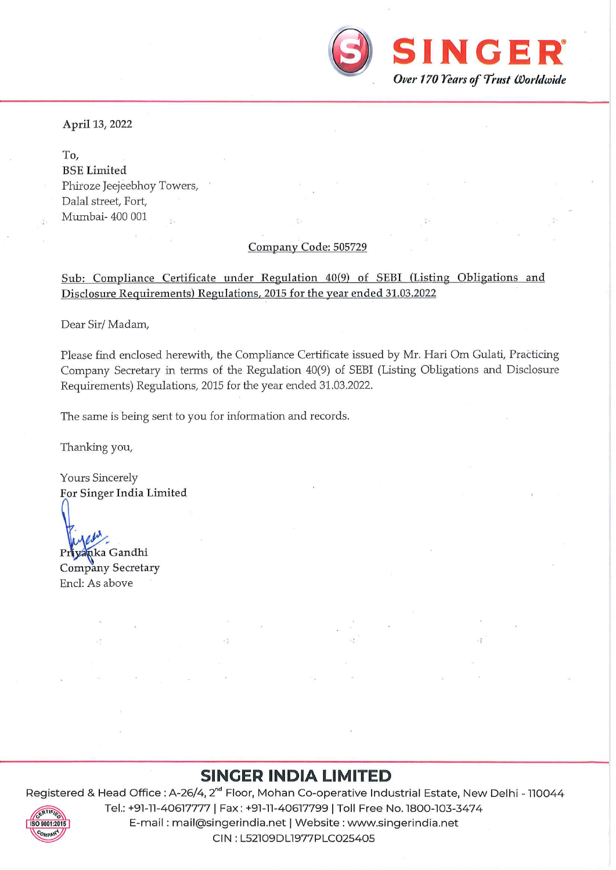

April 13, 2022

To, BSE Limited Phiroze Jeejeebhoy Towers, Dalal street, Fort, Mumbai- 400 001

## Company Code: 505729

Sub: Compliance Certificate under Regulation 40(9) of SEBI (Listing Obligations and Disclosure Requirements) Regulations, 2015 for the year ended 31.03.2022

Dear Sir/ Madam,

Please find enclosed herewith, the Compliance Certificate issued by Mr. Hari Om Gulati, Practicing Company Secretary in terms of the Regulation 40(9) of SEBI (Listing Obligations and Disclosure Requirements) Regulations, 2015 for the year ended 31.03.2022.

The same is being sent to you for information and records.

Thanking you,

Yours Sincerely For Singer India Limited

Priyanka Gandhi Company Secretary Encl: As above

ISO 9001:201

## ,我们也不会不会不会不会不会不会不会不会不会不会不会不会不会不会不会。""我们的是我们的,我们也不会不会不会不会不会不会不会不会不会不会不会不会不会不会不会不会 SINGER INDIA LIMITED

Registered & Head Office : A-26/4, 2™ Floor, Mohan Co-operative Industrial Estate, New Delhi - 110044



 E-mail : mail@singerindia.net | Website : www.singerindia.net

CIN : L52109DL1977PLCO25405